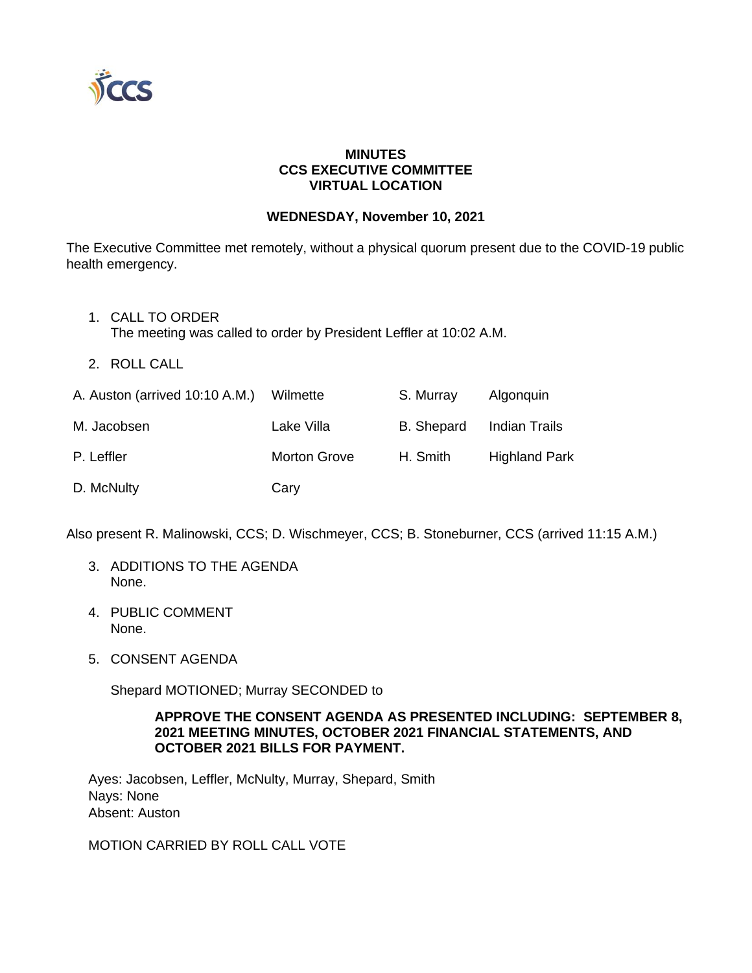

## **MINUTES CCS EXECUTIVE COMMITTEE VIRTUAL LOCATION**

#### **WEDNESDAY, November 10, 2021**

The Executive Committee met remotely, without a physical quorum present due to the COVID-19 public health emergency.

- 1. CALL TO ORDER The meeting was called to order by President Leffler at 10:02 A.M.
- 2. ROLL CALL

| A. Auston (arrived 10:10 A.M.) Wilmette |                     | S. Murray         | Algonguin            |
|-----------------------------------------|---------------------|-------------------|----------------------|
| M. Jacobsen                             | Lake Villa          | <b>B.</b> Shepard | Indian Trails        |
| P. Leffler                              | <b>Morton Grove</b> | H. Smith          | <b>Highland Park</b> |
| D. McNulty                              | Cary                |                   |                      |

Also present R. Malinowski, CCS; D. Wischmeyer, CCS; B. Stoneburner, CCS (arrived 11:15 A.M.)

- 3. ADDITIONS TO THE AGENDA None.
- 4. PUBLIC COMMENT None.
- 5. CONSENT AGENDA

Shepard MOTIONED; Murray SECONDED to

#### **APPROVE THE CONSENT AGENDA AS PRESENTED INCLUDING: SEPTEMBER 8, 2021 MEETING MINUTES, OCTOBER 2021 FINANCIAL STATEMENTS, AND OCTOBER 2021 BILLS FOR PAYMENT.**

Ayes: Jacobsen, Leffler, McNulty, Murray, Shepard, Smith Nays: None Absent: Auston

MOTION CARRIED BY ROLL CALL VOTE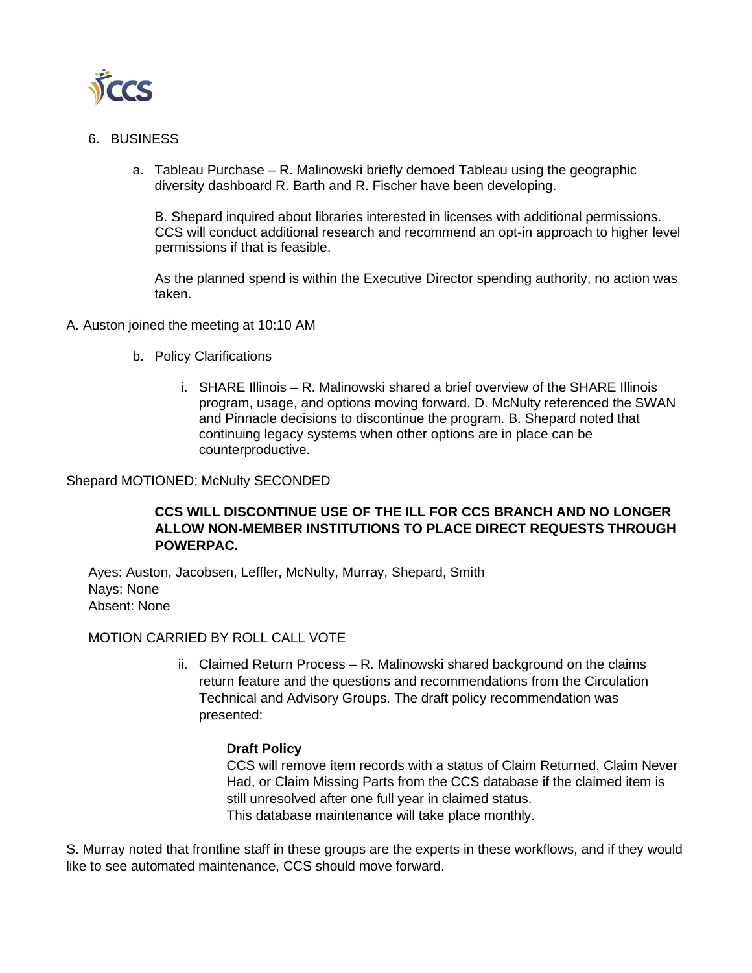

- 6. BUSINESS
	- a. Tableau Purchase R. Malinowski briefly demoed Tableau using the geographic diversity dashboard R. Barth and R. Fischer have been developing.

B. Shepard inquired about libraries interested in licenses with additional permissions. CCS will conduct additional research and recommend an opt-in approach to higher level permissions if that is feasible.

As the planned spend is within the Executive Director spending authority, no action was taken.

- A. Auston joined the meeting at 10:10 AM
	- b. Policy Clarifications
		- i. SHARE Illinois R. Malinowski shared a brief overview of the SHARE Illinois program, usage, and options moving forward. D. McNulty referenced the SWAN and Pinnacle decisions to discontinue the program. B. Shepard noted that continuing legacy systems when other options are in place can be counterproductive.

#### Shepard MOTIONED; McNulty SECONDED

# **CCS WILL DISCONTINUE USE OF THE ILL FOR CCS BRANCH AND NO LONGER ALLOW NON-MEMBER INSTITUTIONS TO PLACE DIRECT REQUESTS THROUGH POWERPAC.**

Ayes: Auston, Jacobsen, Leffler, McNulty, Murray, Shepard, Smith Nays: None Absent: None

## MOTION CARRIED BY ROLL CALL VOTE

ii. Claimed Return Process – R. Malinowski shared background on the claims return feature and the questions and recommendations from the Circulation Technical and Advisory Groups. The draft policy recommendation was presented:

## **Draft Policy**

CCS will remove item records with a status of Claim Returned, Claim Never Had, or Claim Missing Parts from the CCS database if the claimed item is still unresolved after one full year in claimed status. This database maintenance will take place monthly.

S. Murray noted that frontline staff in these groups are the experts in these workflows, and if they would like to see automated maintenance, CCS should move forward.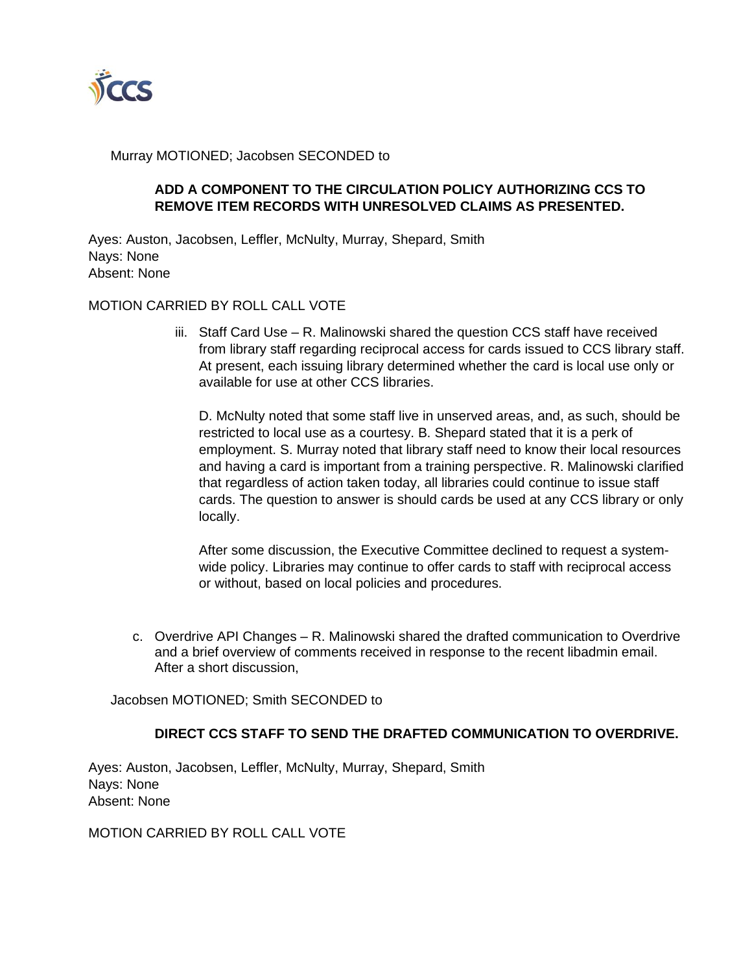

Murray MOTIONED; Jacobsen SECONDED to

# **ADD A COMPONENT TO THE CIRCULATION POLICY AUTHORIZING CCS TO REMOVE ITEM RECORDS WITH UNRESOLVED CLAIMS AS PRESENTED.**

Ayes: Auston, Jacobsen, Leffler, McNulty, Murray, Shepard, Smith Nays: None Absent: None

## MOTION CARRIED BY ROLL CALL VOTE

iii. Staff Card Use – R. Malinowski shared the question CCS staff have received from library staff regarding reciprocal access for cards issued to CCS library staff. At present, each issuing library determined whether the card is local use only or available for use at other CCS libraries.

D. McNulty noted that some staff live in unserved areas, and, as such, should be restricted to local use as a courtesy. B. Shepard stated that it is a perk of employment. S. Murray noted that library staff need to know their local resources and having a card is important from a training perspective. R. Malinowski clarified that regardless of action taken today, all libraries could continue to issue staff cards. The question to answer is should cards be used at any CCS library or only locally.

After some discussion, the Executive Committee declined to request a systemwide policy. Libraries may continue to offer cards to staff with reciprocal access or without, based on local policies and procedures.

c. Overdrive API Changes – R. Malinowski shared the drafted communication to Overdrive and a brief overview of comments received in response to the recent libadmin email. After a short discussion,

Jacobsen MOTIONED; Smith SECONDED to

## **DIRECT CCS STAFF TO SEND THE DRAFTED COMMUNICATION TO OVERDRIVE.**

Ayes: Auston, Jacobsen, Leffler, McNulty, Murray, Shepard, Smith Nays: None Absent: None

MOTION CARRIED BY ROLL CALL VOTE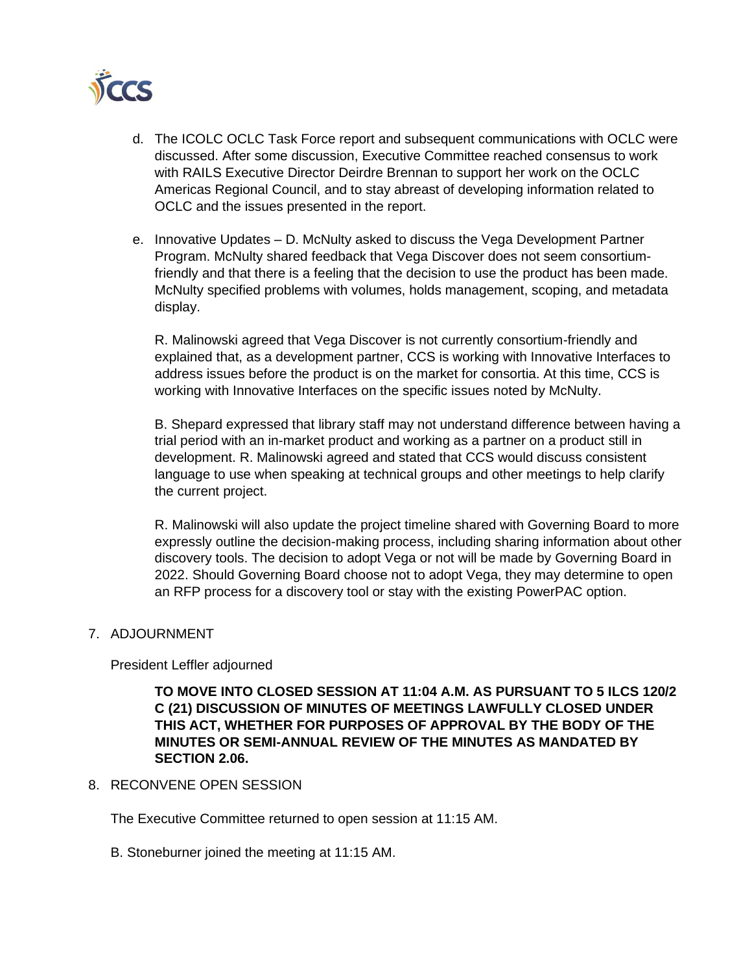

- d. The ICOLC OCLC Task Force report and subsequent communications with OCLC were discussed. After some discussion, Executive Committee reached consensus to work with RAILS Executive Director Deirdre Brennan to support her work on the OCLC Americas Regional Council, and to stay abreast of developing information related to OCLC and the issues presented in the report.
- e. Innovative Updates D. McNulty asked to discuss the Vega Development Partner Program. McNulty shared feedback that Vega Discover does not seem consortiumfriendly and that there is a feeling that the decision to use the product has been made. McNulty specified problems with volumes, holds management, scoping, and metadata display.

R. Malinowski agreed that Vega Discover is not currently consortium-friendly and explained that, as a development partner, CCS is working with Innovative Interfaces to address issues before the product is on the market for consortia. At this time, CCS is working with Innovative Interfaces on the specific issues noted by McNulty.

B. Shepard expressed that library staff may not understand difference between having a trial period with an in-market product and working as a partner on a product still in development. R. Malinowski agreed and stated that CCS would discuss consistent language to use when speaking at technical groups and other meetings to help clarify the current project.

R. Malinowski will also update the project timeline shared with Governing Board to more expressly outline the decision-making process, including sharing information about other discovery tools. The decision to adopt Vega or not will be made by Governing Board in 2022. Should Governing Board choose not to adopt Vega, they may determine to open an RFP process for a discovery tool or stay with the existing PowerPAC option.

#### 7. ADJOURNMENT

President Leffler adjourned

**TO MOVE INTO CLOSED SESSION AT 11:04 A.M. AS PURSUANT TO 5 ILCS 120/2 C (21) DISCUSSION OF MINUTES OF MEETINGS LAWFULLY CLOSED UNDER THIS ACT, WHETHER FOR PURPOSES OF APPROVAL BY THE BODY OF THE MINUTES OR SEMI-ANNUAL REVIEW OF THE MINUTES AS MANDATED BY SECTION 2.06.**

#### 8. RECONVENE OPEN SESSION

The Executive Committee returned to open session at 11:15 AM.

B. Stoneburner joined the meeting at 11:15 AM.